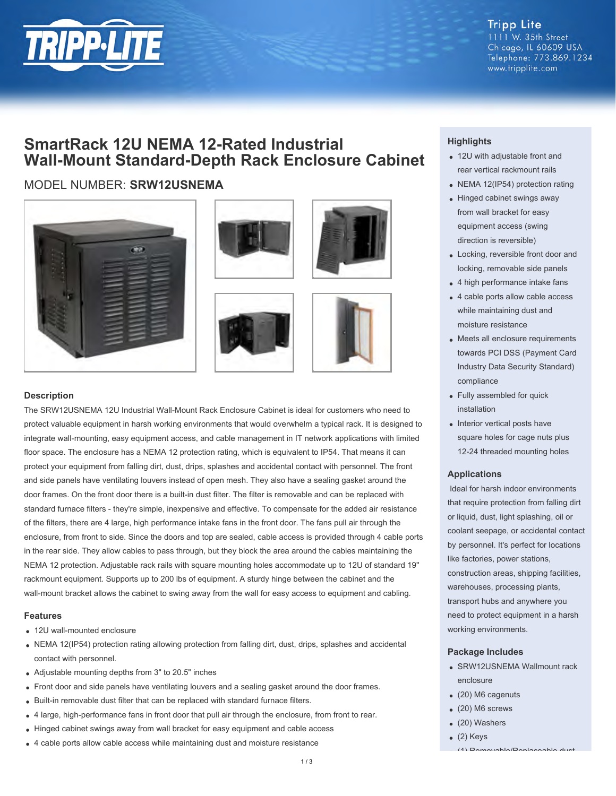

**Tripp Lite** 1111 W. 35th Street Chicago, IL 60609 USA Telephone: 773.869.1234 www.tripplite.com

## **SmartRack 12U NEMA 12-Rated Industrial Wall-Mount Standard-Depth Rack Enclosure Cabinet**

### MODEL NUMBER: **SRW12USNEMA**









#### **Description**

The SRW12USNEMA 12U Industrial Wall-Mount Rack Enclosure Cabinet is ideal for customers who need to protect valuable equipment in harsh working environments that would overwhelm a typical rack. It is designed to integrate wall-mounting, easy equipment access, and cable management in IT network applications with limited floor space. The enclosure has a NEMA 12 protection rating, which is equivalent to IP54. That means it can protect your equipment from falling dirt, dust, drips, splashes and accidental contact with personnel. The front and side panels have ventilating louvers instead of open mesh. They also have a sealing gasket around the door frames. On the front door there is a built-in dust filter. The filter is removable and can be replaced with standard furnace filters - they're simple, inexpensive and effective. To compensate for the added air resistance of the filters, there are 4 large, high performance intake fans in the front door. The fans pull air through the enclosure, from front to side. Since the doors and top are sealed, cable access is provided through 4 cable ports in the rear side. They allow cables to pass through, but they block the area around the cables maintaining the NEMA 12 protection. Adjustable rack rails with square mounting holes accommodate up to 12U of standard 19" rackmount equipment. Supports up to 200 lbs of equipment. A sturdy hinge between the cabinet and the wall-mount bracket allows the cabinet to swing away from the wall for easy access to equipment and cabling.

#### **Features**

- 12U wall-mounted enclosure
- NEMA 12(IP54) protection rating allowing protection from falling dirt, dust, drips, splashes and accidental contact with personnel.
- Adjustable mounting depths from 3" to 20.5" inches
- Front door and side panels have ventilating louvers and a sealing gasket around the door frames.
- Built-in removable dust filter that can be replaced with standard furnace filters.
- 4 large, high-performance fans in front door that pull air through the enclosure, from front to rear.
- Hinged cabinet swings away from wall bracket for easy equipment and cable access
- 4 cable ports allow cable access while maintaining dust and moisture resistance

#### **Highlights**

- 12U with adjustable front and rear vertical rackmount rails
- NEMA 12(IP54) protection rating
- Hinged cabinet swings away from wall bracket for easy equipment access (swing direction is reversible)
- Locking, reversible front door and locking, removable side panels
- 4 high performance intake fans
- 4 cable ports allow cable access while maintaining dust and moisture resistance
- Meets all enclosure requirements towards PCI DSS (Payment Card Industry Data Security Standard) compliance
- Fully assembled for quick installation
- Interior vertical posts have square holes for cage nuts plus 12-24 threaded mounting holes

#### **Applications**

 Ideal for harsh indoor environments that require protection from falling dirt or liquid, dust, light splashing, oil or coolant seepage, or accidental contact by personnel. It's perfect for locations like factories, power stations, construction areas, shipping facilities, warehouses, processing plants, transport hubs and anywhere you need to protect equipment in a harsh working environments.

#### **Package Includes**

- SRW12USNEMA Wallmount rack enclosure
- (20) M6 cagenuts
- (20) M6 screws
- (20) Washers
- $(2)$  Keys
- (1) Removable/Replaceable dust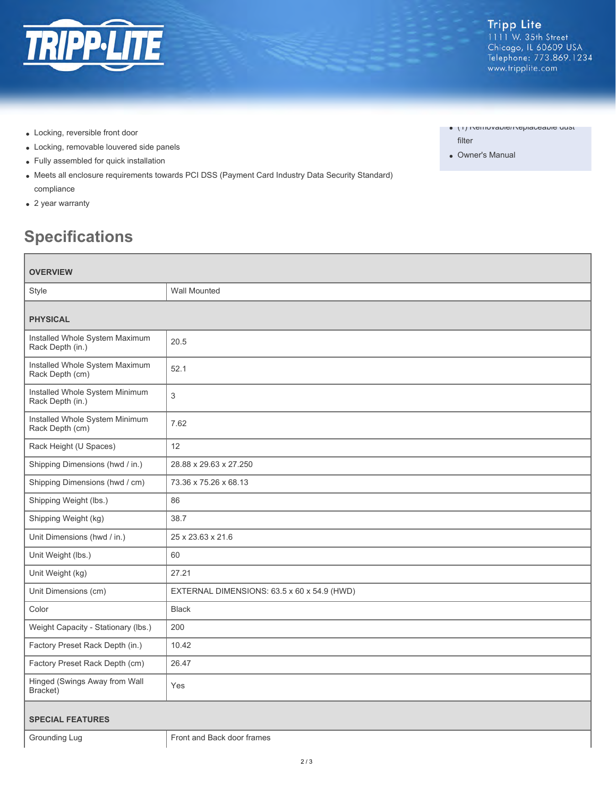

- Locking, reversible front door
- Locking, removable louvered side panels
- Fully assembled for quick installation
- Meets all enclosure requirements towards PCI DSS (Payment Card Industry Data Security Standard) compliance
- 2 year warranty

# **Specifications**

| <b>OVERVIEW</b>                                    |                                             |
|----------------------------------------------------|---------------------------------------------|
| Style                                              | <b>Wall Mounted</b>                         |
| <b>PHYSICAL</b>                                    |                                             |
| Installed Whole System Maximum<br>Rack Depth (in.) | 20.5                                        |
| Installed Whole System Maximum<br>Rack Depth (cm)  | 52.1                                        |
| Installed Whole System Minimum<br>Rack Depth (in.) | 3                                           |
| Installed Whole System Minimum<br>Rack Depth (cm)  | 7.62                                        |
| Rack Height (U Spaces)                             | 12                                          |
| Shipping Dimensions (hwd / in.)                    | 28.88 x 29.63 x 27.250                      |
| Shipping Dimensions (hwd / cm)                     | 73.36 x 75.26 x 68.13                       |
| Shipping Weight (lbs.)                             | 86                                          |
| Shipping Weight (kg)                               | 38.7                                        |
| Unit Dimensions (hwd / in.)                        | 25 x 23.63 x 21.6                           |
| Unit Weight (lbs.)                                 | 60                                          |
| Unit Weight (kg)                                   | 27.21                                       |
| Unit Dimensions (cm)                               | EXTERNAL DIMENSIONS: 63.5 x 60 x 54.9 (HWD) |
| Color                                              | <b>Black</b>                                |
| Weight Capacity - Stationary (lbs.)                | 200                                         |
| Factory Preset Rack Depth (in.)                    | 10.42                                       |
| Factory Preset Rack Depth (cm)                     | 26.47                                       |
| Hinged (Swings Away from Wall<br>Bracket)          | Yes                                         |
| <b>SPECIAL FEATURES</b>                            |                                             |
| Grounding Lug                                      | Front and Back door frames                  |

- (1) Removable/Replaceable dust
- filter
- Owner's Manual